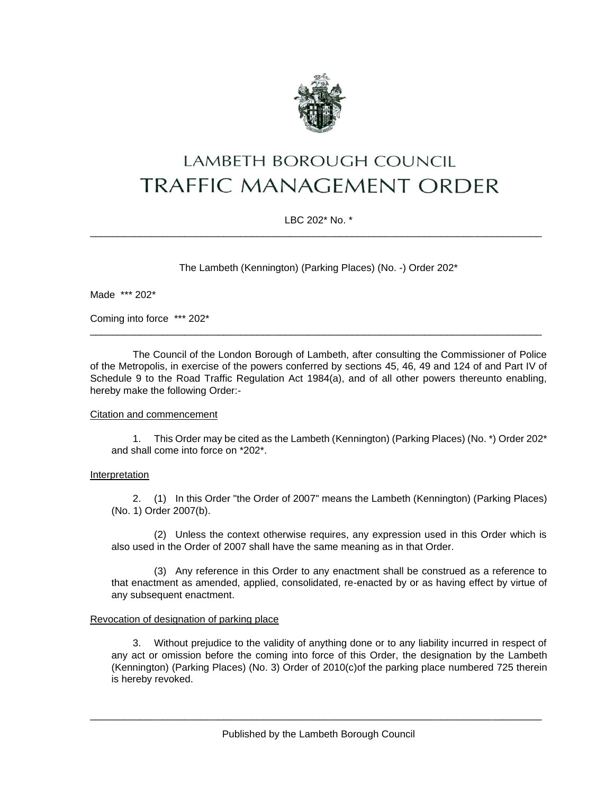

# LAMBETH BOROUGH COUNCIL **TRAFFIC MANAGEMENT ORDER**

# LBC 202\* No. \* \_\_\_\_\_\_\_\_\_\_\_\_\_\_\_\_\_\_\_\_\_\_\_\_\_\_\_\_\_\_\_\_\_\_\_\_\_\_\_\_\_\_\_\_\_\_\_\_\_\_\_\_\_\_\_\_\_\_\_\_\_\_\_\_\_\_\_\_\_\_\_\_\_\_\_\_\_\_\_\_\_

The Lambeth (Kennington) (Parking Places) (No. -) Order 202\*

Made \*\*\* 202\*

Coming into force \*\*\* 202\*

The Council of the London Borough of Lambeth, after consulting the Commissioner of Police of the Metropolis, in exercise of the powers conferred by sections 45, 46, 49 and 124 of and Part IV of Schedule 9 to the Road Traffic Regulation Act 1984(a), and of all other powers thereunto enabling, hereby make the following Order:-

\_\_\_\_\_\_\_\_\_\_\_\_\_\_\_\_\_\_\_\_\_\_\_\_\_\_\_\_\_\_\_\_\_\_\_\_\_\_\_\_\_\_\_\_\_\_\_\_\_\_\_\_\_\_\_\_\_\_\_\_\_\_\_\_\_\_\_\_\_\_\_\_\_\_\_\_\_\_\_\_\_

## Citation and commencement

1. This Order may be cited as the Lambeth (Kennington) (Parking Places) (No. \*) Order 202\* and shall come into force on \*202\*.

## **Interpretation**

2. (1) In this Order "the Order of 2007" means the Lambeth (Kennington) (Parking Places) (No. 1) Order 2007(b).

(2) Unless the context otherwise requires, any expression used in this Order which is also used in the Order of 2007 shall have the same meaning as in that Order.

(3) Any reference in this Order to any enactment shall be construed as a reference to that enactment as amended, applied, consolidated, re-enacted by or as having effect by virtue of any subsequent enactment.

## Revocation of designation of parking place

3. Without prejudice to the validity of anything done or to any liability incurred in respect of any act or omission before the coming into force of this Order, the designation by the Lambeth (Kennington) (Parking Places) (No. 3) Order of 2010(c)of the parking place numbered 725 therein is hereby revoked.

\_\_\_\_\_\_\_\_\_\_\_\_\_\_\_\_\_\_\_\_\_\_\_\_\_\_\_\_\_\_\_\_\_\_\_\_\_\_\_\_\_\_\_\_\_\_\_\_\_\_\_\_\_\_\_\_\_\_\_\_\_\_\_\_\_\_\_\_\_\_\_\_\_\_\_\_\_\_\_\_\_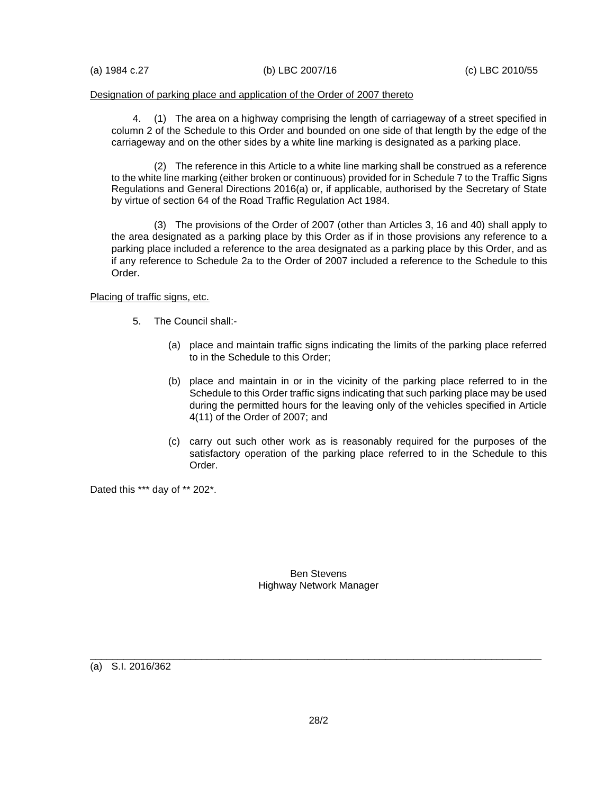#### Designation of parking place and application of the Order of 2007 thereto

4. (1) The area on a highway comprising the length of carriageway of a street specified in column 2 of the Schedule to this Order and bounded on one side of that length by the edge of the carriageway and on the other sides by a white line marking is designated as a parking place.

(2) The reference in this Article to a white line marking shall be construed as a reference to the white line marking (either broken or continuous) provided for in Schedule 7 to the Traffic Signs Regulations and General Directions 2016(a) or, if applicable, authorised by the Secretary of State by virtue of section 64 of the Road Traffic Regulation Act 1984.

(3) The provisions of the Order of 2007 (other than Articles 3, 16 and 40) shall apply to the area designated as a parking place by this Order as if in those provisions any reference to a parking place included a reference to the area designated as a parking place by this Order, and as if any reference to Schedule 2a to the Order of 2007 included a reference to the Schedule to this Order.

#### Placing of traffic signs, etc.

- 5. The Council shall:-
	- (a) place and maintain traffic signs indicating the limits of the parking place referred to in the Schedule to this Order;
	- (b) place and maintain in or in the vicinity of the parking place referred to in the Schedule to this Order traffic signs indicating that such parking place may be used during the permitted hours for the leaving only of the vehicles specified in Article 4(11) of the Order of 2007; and
	- (c) carry out such other work as is reasonably required for the purposes of the satisfactory operation of the parking place referred to in the Schedule to this Order.

Dated this \*\*\* day of \*\* 202\*.

Ben Stevens Highway Network Manager

(a) S.I. 2016/362

\_\_\_\_\_\_\_\_\_\_\_\_\_\_\_\_\_\_\_\_\_\_\_\_\_\_\_\_\_\_\_\_\_\_\_\_\_\_\_\_\_\_\_\_\_\_\_\_\_\_\_\_\_\_\_\_\_\_\_\_\_\_\_\_\_\_\_\_\_\_\_\_\_\_\_\_\_\_\_\_\_